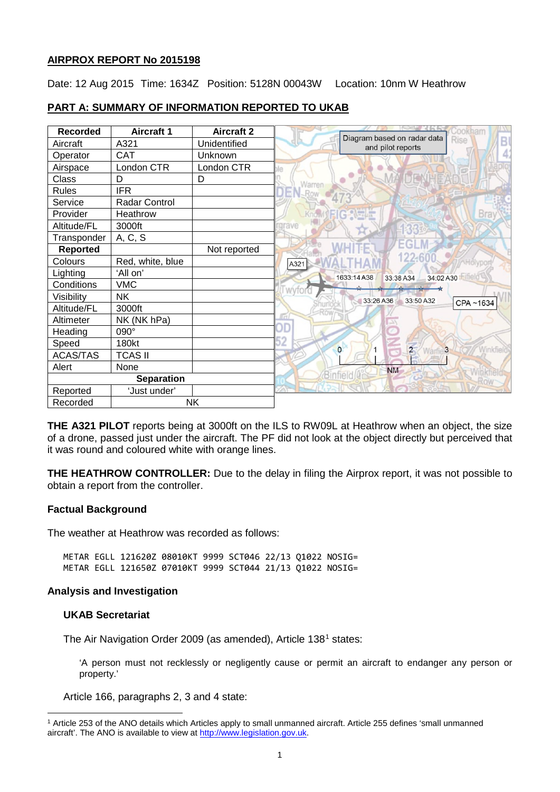# **AIRPROX REPORT No 2015198**

Date: 12 Aug 2015 Time: 1634Z Position: 5128N 00043W Location: 10nm W Heathrow

# **PART A: SUMMARY OF INFORMATION REPORTED TO UKAB**

| <b>Recorded</b>   | <b>Aircraft 1</b> | <b>Aircraft 2</b> |                                                               |
|-------------------|-------------------|-------------------|---------------------------------------------------------------|
| Aircraft          | A321              | Unidentified      | Diagram based on radar data<br>Rise<br>B<br>and pilot reports |
| Operator          | <b>CAT</b>        | Unknown           |                                                               |
| Airspace          | London CTR        | London CTR        |                                                               |
| Class             | D                 | D                 | Warren                                                        |
| Rules             | <b>IFR</b>        |                   |                                                               |
| Service           | Radar Control     |                   |                                                               |
| Provider          | Heathrow          |                   | Bra                                                           |
| Altitude/FL       | 3000ft            |                   | arave                                                         |
| Transponder       | A, C, S           |                   |                                                               |
| <b>Reported</b>   |                   | Not reported      |                                                               |
| Colours           | Red, white, blue  |                   | 122-6<br>A321                                                 |
| Lighting          | 'All on'          |                   | Fifield V<br>1633:14A38<br>33:38 A34<br>34:02 A30             |
| Conditions        | <b>VMC</b>        |                   | wvtor                                                         |
| Visibility        | <b>NK</b>         |                   | 33:26 A36<br>33:50 A32                                        |
| Altitude/FL       | 3000ft            |                   | CPA~1634                                                      |
| Altimeter         | NK (NK hPa)       |                   | Гđ                                                            |
| Heading           | 090°              |                   | )D                                                            |
| Speed             | 180kt             |                   | 52                                                            |
| <b>ACAS/TAS</b>   | <b>TCAS II</b>    |                   | $\overline{2}$<br>Winkfield<br>$\circ$<br>3                   |
| Alert             | None              |                   | <b>NM</b>                                                     |
| <b>Separation</b> |                   |                   | Binfie                                                        |
| Reported          | 'Just under'      |                   |                                                               |
| Recorded          | <b>NK</b>         |                   |                                                               |

**THE A321 PILOT** reports being at 3000ft on the ILS to RW09L at Heathrow when an object, the size of a drone, passed just under the aircraft. The PF did not look at the object directly but perceived that it was round and coloured white with orange lines.

**THE HEATHROW CONTROLLER:** Due to the delay in filing the Airprox report, it was not possible to obtain a report from the controller.

## **Factual Background**

The weather at Heathrow was recorded as follows:

METAR EGLL 121620Z 08010KT 9999 SCT046 22/13 Q1022 NOSIG= METAR EGLL 121650Z 07010KT 9999 SCT044 21/13 Q1022 NOSIG=

## **Analysis and Investigation**

# **UKAB Secretariat**

l

The Air Navigation Order 2009 (as amended), Article [1](#page-0-0)38<sup>1</sup> states:

'A person must not recklessly or negligently cause or permit an aircraft to endanger any person or property.'

Article 166, paragraphs 2, 3 and 4 state:

<span id="page-0-0"></span><sup>1</sup> Article 253 of the ANO details which Articles apply to small unmanned aircraft. Article 255 defines 'small unmanned aircraft'. The ANO is available to view at [http://www.legislation.gov.uk.](http://www.legislation.gov.uk/)